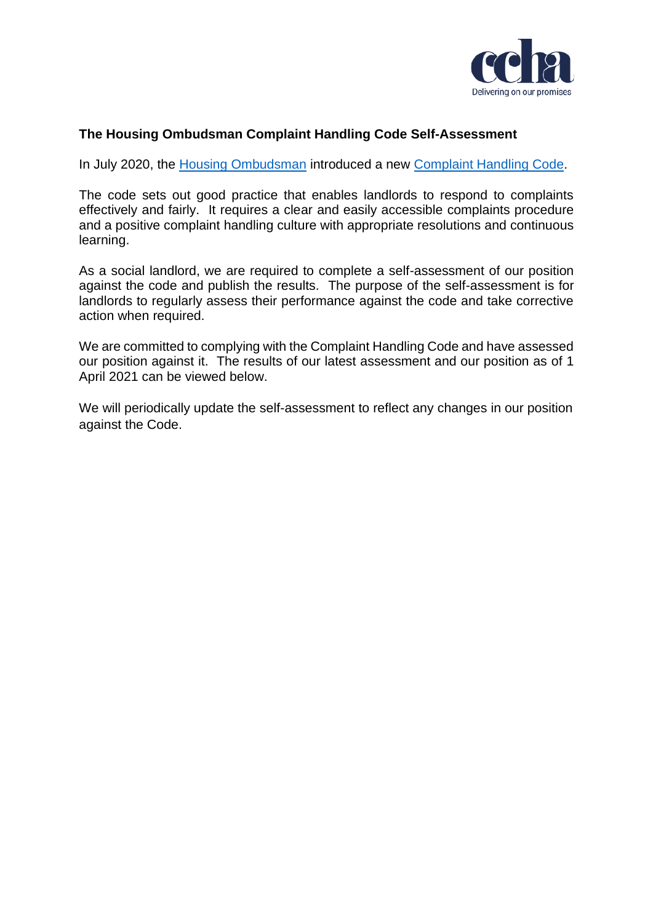

## **The Housing Ombudsman Complaint Handling Code Self-Assessment**

In July 2020, the [Housing Ombudsman](https://www.housing-ombudsman.org.uk/) introduced a new [Complaint Handling Code.](https://www.housing-ombudsman.org.uk/wp-content/uploads/2020/11/Complaint-Handling-Code.pdf)

The code sets out good practice that enables landlords to respond to complaints effectively and fairly. It requires a clear and easily accessible complaints procedure and a positive complaint handling culture with appropriate resolutions and continuous learning.

As a social landlord, we are required to complete a self-assessment of our position against the code and publish the results. The purpose of the self-assessment is for landlords to regularly assess their performance against the code and take corrective action when required.

We are committed to complying with the Complaint Handling Code and have assessed our position against it. The results of our latest assessment and our position as of 1 April 2021 can be viewed below.

We will periodically update the self-assessment to reflect any changes in our position against the Code.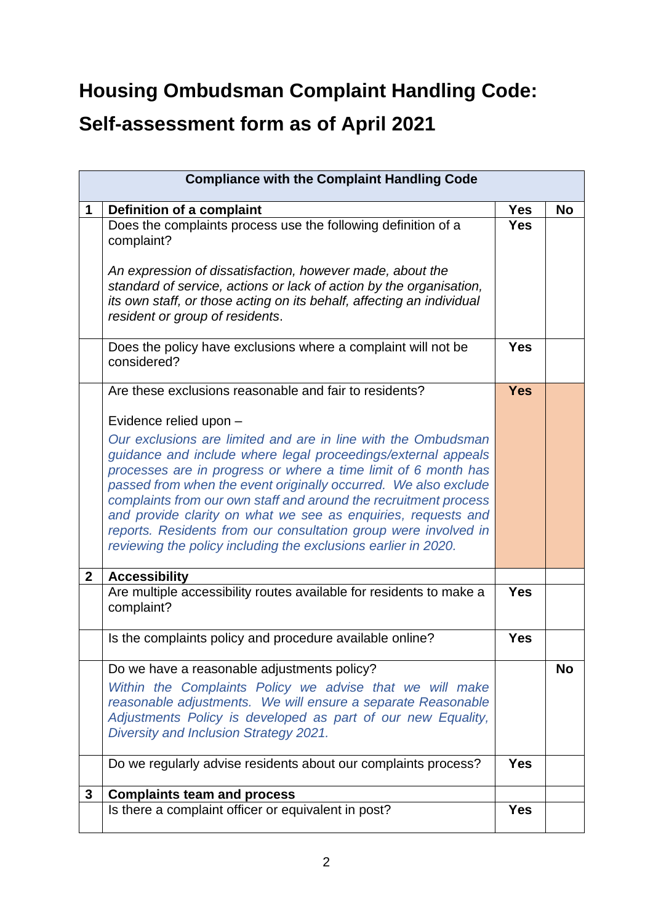## **Housing Ombudsman Complaint Handling Code: Self-assessment form as of April 2021**

| <b>Compliance with the Complaint Handling Code</b> |                                                                                                                                                                                                                                                                                                                                                                                                                                                                                                                                               |            |           |
|----------------------------------------------------|-----------------------------------------------------------------------------------------------------------------------------------------------------------------------------------------------------------------------------------------------------------------------------------------------------------------------------------------------------------------------------------------------------------------------------------------------------------------------------------------------------------------------------------------------|------------|-----------|
| 1                                                  | Definition of a complaint                                                                                                                                                                                                                                                                                                                                                                                                                                                                                                                     | Yes        | No        |
|                                                    | Does the complaints process use the following definition of a<br>complaint?<br>An expression of dissatisfaction, however made, about the<br>standard of service, actions or lack of action by the organisation,<br>its own staff, or those acting on its behalf, affecting an individual<br>resident or group of residents.                                                                                                                                                                                                                   | <b>Yes</b> |           |
|                                                    | Does the policy have exclusions where a complaint will not be<br>considered?                                                                                                                                                                                                                                                                                                                                                                                                                                                                  | <b>Yes</b> |           |
|                                                    | Are these exclusions reasonable and fair to residents?                                                                                                                                                                                                                                                                                                                                                                                                                                                                                        | <b>Yes</b> |           |
|                                                    | Evidence relied upon -                                                                                                                                                                                                                                                                                                                                                                                                                                                                                                                        |            |           |
|                                                    | Our exclusions are limited and are in line with the Ombudsman<br>guidance and include where legal proceedings/external appeals<br>processes are in progress or where a time limit of 6 month has<br>passed from when the event originally occurred. We also exclude<br>complaints from our own staff and around the recruitment process<br>and provide clarity on what we see as enquiries, requests and<br>reports. Residents from our consultation group were involved in<br>reviewing the policy including the exclusions earlier in 2020. |            |           |
| $\mathbf{2}$                                       | <b>Accessibility</b>                                                                                                                                                                                                                                                                                                                                                                                                                                                                                                                          |            |           |
|                                                    | Are multiple accessibility routes available for residents to make a<br>complaint?                                                                                                                                                                                                                                                                                                                                                                                                                                                             | <b>Yes</b> |           |
|                                                    | Is the complaints policy and procedure available online?                                                                                                                                                                                                                                                                                                                                                                                                                                                                                      | <b>Yes</b> |           |
|                                                    | Do we have a reasonable adjustments policy?<br>Within the Complaints Policy we advise that we will make<br>reasonable adjustments. We will ensure a separate Reasonable<br>Adjustments Policy is developed as part of our new Equality,<br>Diversity and Inclusion Strategy 2021.                                                                                                                                                                                                                                                             |            | <b>No</b> |
|                                                    | Do we regularly advise residents about our complaints process?                                                                                                                                                                                                                                                                                                                                                                                                                                                                                | <b>Yes</b> |           |
| 3                                                  | <b>Complaints team and process</b>                                                                                                                                                                                                                                                                                                                                                                                                                                                                                                            |            |           |
|                                                    | Is there a complaint officer or equivalent in post?                                                                                                                                                                                                                                                                                                                                                                                                                                                                                           | <b>Yes</b> |           |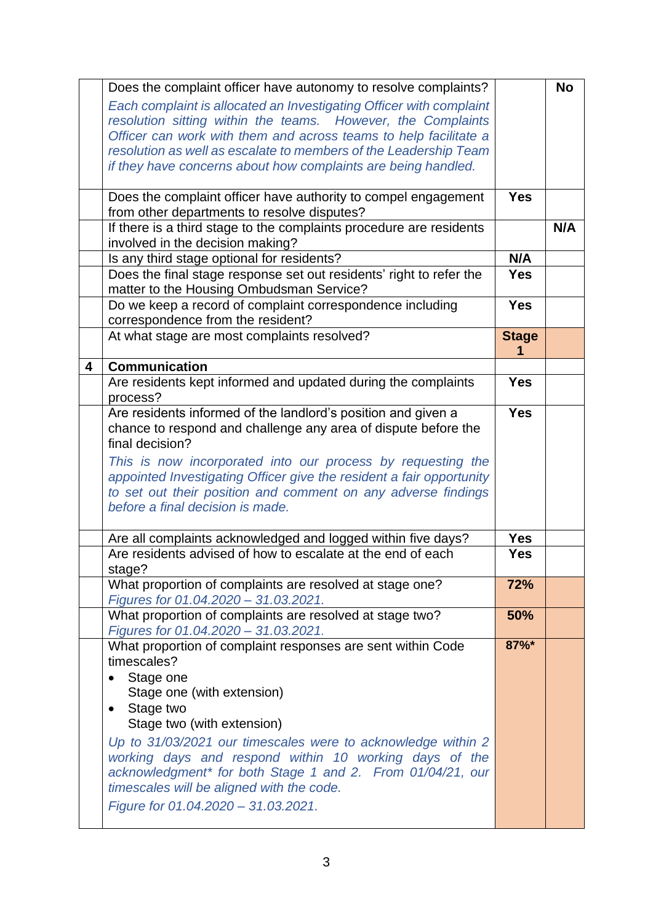|   | Does the complaint officer have autonomy to resolve complaints?      |              | <b>No</b> |
|---|----------------------------------------------------------------------|--------------|-----------|
|   | Each complaint is allocated an Investigating Officer with complaint  |              |           |
|   | resolution sitting within the teams. However, the Complaints         |              |           |
|   | Officer can work with them and across teams to help facilitate a     |              |           |
|   | resolution as well as escalate to members of the Leadership Team     |              |           |
|   | if they have concerns about how complaints are being handled.        |              |           |
|   |                                                                      |              |           |
|   | Does the complaint officer have authority to compel engagement       | <b>Yes</b>   |           |
|   | from other departments to resolve disputes?                          |              |           |
|   | If there is a third stage to the complaints procedure are residents  |              | N/A       |
|   | involved in the decision making?                                     |              |           |
|   | Is any third stage optional for residents?                           | N/A          |           |
|   | Does the final stage response set out residents' right to refer the  | <b>Yes</b>   |           |
|   | matter to the Housing Ombudsman Service?                             |              |           |
|   | Do we keep a record of complaint correspondence including            | <b>Yes</b>   |           |
|   | correspondence from the resident?                                    |              |           |
|   | At what stage are most complaints resolved?                          | <b>Stage</b> |           |
|   |                                                                      | 1            |           |
| 4 | <b>Communication</b>                                                 |              |           |
|   | Are residents kept informed and updated during the complaints        | <b>Yes</b>   |           |
|   | process?                                                             |              |           |
|   | Are residents informed of the landlord's position and given a        | <b>Yes</b>   |           |
|   | chance to respond and challenge any area of dispute before the       |              |           |
|   | final decision?                                                      |              |           |
|   | This is now incorporated into our process by requesting the          |              |           |
|   | appointed Investigating Officer give the resident a fair opportunity |              |           |
|   | to set out their position and comment on any adverse findings        |              |           |
|   | before a final decision is made.                                     |              |           |
|   |                                                                      | <b>Yes</b>   |           |
|   | Are all complaints acknowledged and logged within five days?         | <b>Yes</b>   |           |
|   | Are residents advised of how to escalate at the end of each          |              |           |
|   | stage?<br>What proportion of complaints are resolved at stage one?   | 72%          |           |
|   | Figures for 01.04.2020 - 31.03.2021.                                 |              |           |
|   | What proportion of complaints are resolved at stage two?             | 50%          |           |
|   | Figures for 01.04.2020 - 31.03.2021.                                 |              |           |
|   | What proportion of complaint responses are sent within Code          | 87%*         |           |
|   | timescales?                                                          |              |           |
|   | Stage one                                                            |              |           |
|   | Stage one (with extension)                                           |              |           |
|   | Stage two                                                            |              |           |
|   | Stage two (with extension)                                           |              |           |
|   | Up to 31/03/2021 our timescales were to acknowledge within 2         |              |           |
|   | working days and respond within 10 working days of the               |              |           |
|   | acknowledgment* for both Stage 1 and 2. From 01/04/21, our           |              |           |
|   | timescales will be aligned with the code.                            |              |           |
|   | Figure for 01.04.2020 - 31.03.2021.                                  |              |           |
|   |                                                                      |              |           |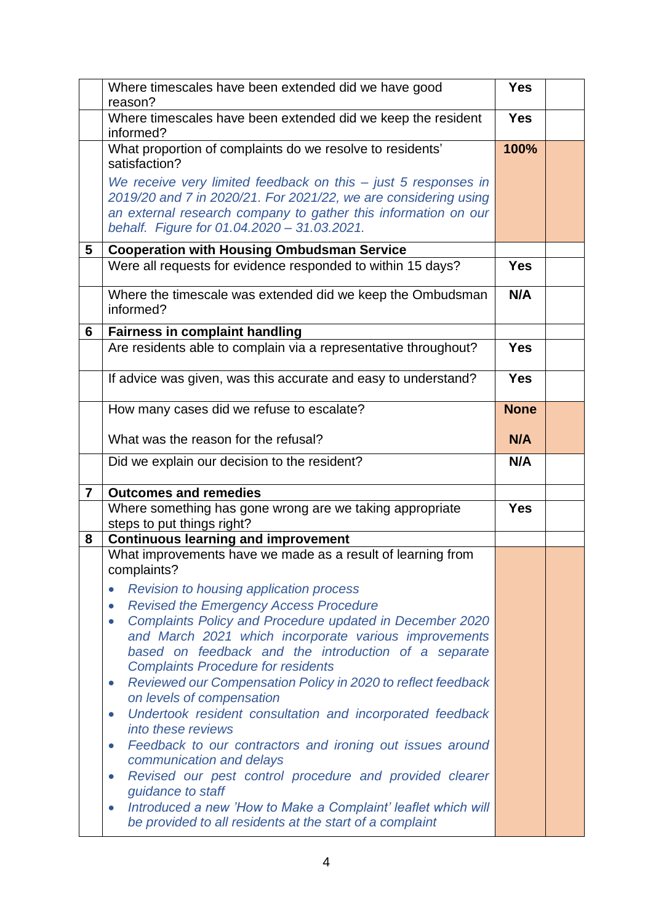|                | Where timescales have been extended did we have good                                                                                                                                                                                                                                                   | <b>Yes</b>  |  |
|----------------|--------------------------------------------------------------------------------------------------------------------------------------------------------------------------------------------------------------------------------------------------------------------------------------------------------|-------------|--|
|                | reason?                                                                                                                                                                                                                                                                                                | <b>Yes</b>  |  |
|                | Where timescales have been extended did we keep the resident<br>informed?                                                                                                                                                                                                                              |             |  |
|                | What proportion of complaints do we resolve to residents'<br>satisfaction?                                                                                                                                                                                                                             | 100%        |  |
|                | We receive very limited feedback on this $-$ just 5 responses in<br>2019/20 and 7 in 2020/21. For 2021/22, we are considering using<br>an external research company to gather this information on our                                                                                                  |             |  |
|                | behalf. Figure for 01.04.2020 - 31.03.2021.                                                                                                                                                                                                                                                            |             |  |
| 5              | <b>Cooperation with Housing Ombudsman Service</b>                                                                                                                                                                                                                                                      |             |  |
|                | Were all requests for evidence responded to within 15 days?                                                                                                                                                                                                                                            | <b>Yes</b>  |  |
|                | Where the timescale was extended did we keep the Ombudsman<br>informed?                                                                                                                                                                                                                                | N/A         |  |
| 6              | <b>Fairness in complaint handling</b>                                                                                                                                                                                                                                                                  |             |  |
|                | Are residents able to complain via a representative throughout?                                                                                                                                                                                                                                        | <b>Yes</b>  |  |
|                | If advice was given, was this accurate and easy to understand?                                                                                                                                                                                                                                         | <b>Yes</b>  |  |
|                | How many cases did we refuse to escalate?                                                                                                                                                                                                                                                              | <b>None</b> |  |
|                | What was the reason for the refusal?                                                                                                                                                                                                                                                                   | N/A         |  |
|                | Did we explain our decision to the resident?                                                                                                                                                                                                                                                           | N/A         |  |
| $\overline{7}$ | <b>Outcomes and remedies</b>                                                                                                                                                                                                                                                                           |             |  |
|                | Where something has gone wrong are we taking appropriate<br>steps to put things right?                                                                                                                                                                                                                 | <b>Yes</b>  |  |
| 8              | <b>Continuous learning and improvement</b>                                                                                                                                                                                                                                                             |             |  |
|                | What improvements have we made as a result of learning from<br>complaints?                                                                                                                                                                                                                             |             |  |
|                | <b>Revision to housing application process</b><br><b>Revised the Emergency Access Procedure</b><br>$\bullet$<br>Complaints Policy and Procedure updated in December 2020<br>$\bullet$<br>and March 2021 which incorporate various improvements<br>based on feedback and the introduction of a separate |             |  |